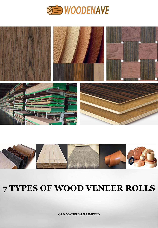





# **7 TYPES OF WOOD VENEER ROLLS**

**C&D MATERIALS LIMITED**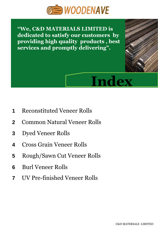

**"We, C&D MATERIALS LIMITED is dedicated to satisfy our customers by providing high quality products , best services and promptly delivering".**



- **1** Reconstituted Veneer Rolls
- **2** Common Natural Veneer Rolls
- **3** Dyed Veneer Rolls
- **4** Cross Grain Veneer Rolls
- **5** Rough/Sawn Cut Veneer Rolls
- **6** Burl Veneer Rolls
- **7** UV Pre-finished Veneer Rolls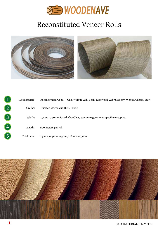

## Reconstituted Veneer Rolls



|                | Wood species: | Oak, Walnut, Ash, Teak, Rosewood, Zebra, Ebony, Wenge, Cherry, Burl<br>Reconstituted wood |
|----------------|---------------|-------------------------------------------------------------------------------------------|
|                | Grains:       | Quarter, Crwon cut, Burl, Exotic                                                          |
| $\overline{3}$ | Width:        | 15mm to 60mm for edgebanding, 60mm to 300mm for profile wrapping                          |
|                | Length:       | 200 meters per roll                                                                       |
|                | Thickness:    | 0.3mm, 0.4mm, 0.5mm, 0.6mm, 0.9mm                                                         |

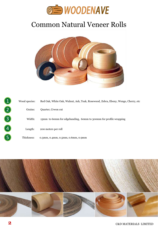

## Common Natural Veneer Rolls



| ◢                         | Wood species: | Red Oak, White Oak, Walnut, Ash, Teak, Rosewood, Zebra, Ebony, Wenge, Cherry, etc |
|---------------------------|---------------|-----------------------------------------------------------------------------------|
| $\mathbf{2}^{\mathsf{I}}$ | Grains:       | Quarter, Crwon cut                                                                |
| 3                         | Width:        | 15mm to 60mm for edgebanding, 60mm to 300mm for profile wrapping                  |
| 4                         | Length:       | 200 meters per roll                                                               |
| 5                         | Thickness:    | 0.3mm, 0.4mm, 0.5mm, 0.6mm, 0.9mm                                                 |

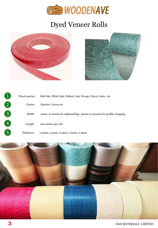

# Dyed Veneer Rolls





| 1 | Wood species: | Red Oak, White Oak, Walnut, Ash, Wenge, Cherry, Koto, etc.       |
|---|---------------|------------------------------------------------------------------|
|   | Grains:       | Quarter, Crwon cut                                               |
| 3 | Width:        | 15mm to 60mm for edgebanding, 60mm to 300mm for profile wrapping |
|   | Length:       | 200 meters per roll                                              |
|   | Thickness:    | 0.3mm, 0.4mm, 0.5mm, 0.6mm, 0.9mm                                |

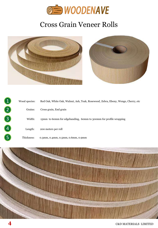

#### Cross Grain Veneer Rolls



|   | Wood species: | Red Oak, White Oak, Walnut, Ash, Teak, Rosewood, Zebra, Ebony, Wenge, Cherry, etc |
|---|---------------|-----------------------------------------------------------------------------------|
|   | Grains:       | Cross grain, End grain                                                            |
| 3 | Width:        | 15mm to 60mm for edgebanding, 60mm to 300mm for profile wrapping                  |
|   | Length:       | 200 meters per roll                                                               |
|   | Thickness:    | 0.3mm, 0.4mm, 0.5mm, 0.6mm, 0.9mm                                                 |

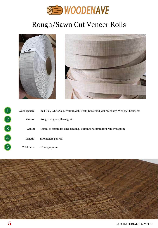

## Rough/Sawn Cut Veneer Rolls





|   | Wood species: | Red Oak, White Oak, Walnut, Ash, Teak, Rosewood, Zebra, Ebony, Wenge, Cherry, etc |
|---|---------------|-----------------------------------------------------------------------------------|
|   | Grains:       | Rough cut grain, Sawn grain                                                       |
|   | Width:        | 15mm to 60mm for edgebanding, 60mm to 300mm for profile wrapping                  |
| 4 | Length:       | 200 meters per roll                                                               |
|   | Thickness:    | $0.6$ mm, $0.7$ mm                                                                |

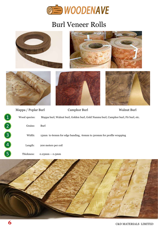

#### Burl Veneer Rolls



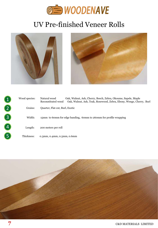

#### UV Pre-finished Veneer Rolls





| 1 | Wood species: | Oak, Walnut, Ash, Cherry, Beech, Zebra, Okoume, Sapele, Maple<br>Natural wood<br>Oak, Walnut, Ash, Teak, Rosewood, Zebra, Ebony, Wenge, Cherry, Burl<br>Reconstituted wood |
|---|---------------|----------------------------------------------------------------------------------------------------------------------------------------------------------------------------|
|   | Grains:       | Quarter, Flat cut, Burl, Exotic                                                                                                                                            |
|   | Width:        | 15mm to 60mm for edge banding, 60mm to 260mm for profile wrapping                                                                                                          |
| 4 | Length:       | 200 meters per roll                                                                                                                                                        |
|   | Thickness:    | $0.3$ mm, $0.4$ mm, $0.5$ mm, $0.6$ mm                                                                                                                                     |